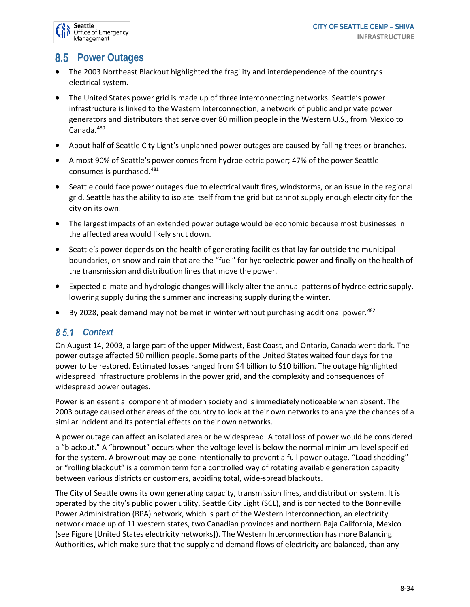

# **8.5 Power Outages**

- The 2003 Northeast Blackout highlighted the fragility and interdependence of the country's electrical system.
- The United States power grid is made up of three interconnecting networks. Seattle's power infrastructure is linked to the Western Interconnection, a network of public and private power generators and distributors that serve over 80 million people in the Western U.S., from Mexico to Canada.<sup>480</sup>
- About half of Seattle City Light's unplanned power outages are caused by falling trees or branches.
- Almost 90% of Seattle's power comes from hydroelectric power; 47% of the power Seattle consumes is purchased.<sup>481</sup>
- Seattle could face power outages due to electrical vault fires, windstorms, or an issue in the regional grid. Seattle has the ability to isolate itself from the grid but cannot supply enough electricity for the city on its own.
- The largest impacts of an extended power outage would be economic because most businesses in the affected area would likely shut down.
- Seattle's power depends on the health of generating facilities that lay far outside the municipal boundaries, on snow and rain that are the "fuel" for hydroelectric power and finally on the health of the transmission and distribution lines that move the power.
- Expected climate and hydrologic changes will likely alter the annual patterns of hydroelectric supply, lowering supply during the summer and increasing supply during the winter.
- By 2028, peak demand may not be met in winter without purchasing additional power.  $482$

#### *Context*

On August 14, 2003, a large part of the upper Midwest, East Coast, and Ontario, Canada went dark. The power outage affected 50 million people. Some parts of the United States waited four days for the power to be restored. Estimated losses ranged from \$4 billion to \$10 billion. The outage highlighted widespread infrastructure problems in the power grid, and the complexity and consequences of widespread power outages.

Power is an essential component of modern society and is immediately noticeable when absent. The 2003 outage caused other areas of the country to look at their own networks to analyze the chances of a similar incident and its potential effects on their own networks.

A power outage can affect an isolated area or be widespread. A total loss of power would be considered a "blackout." A "brownout" occurs when the voltage level is below the normal minimum level specified for the system. A brownout may be done intentionally to prevent a full power outage. "Load shedding" or "rolling blackout" is a common term for a controlled way of rotating available generation capacity between various districts or customers, avoiding total, wide-spread blackouts.

The City of Seattle owns its own generating capacity, transmission lines, and distribution system. It is operated by the city's public power utility, Seattle City Light (SCL), and is connected to the Bonneville Power Administration (BPA) network, which is part of the Western Interconnection, an electricity network made up of 11 western states, two Canadian provinces and northern Baja California, Mexico (see Figure [United States electricity networks]). The Western Interconnection has more Balancing Authorities, which make sure that the supply and demand flows of electricity are balanced, than any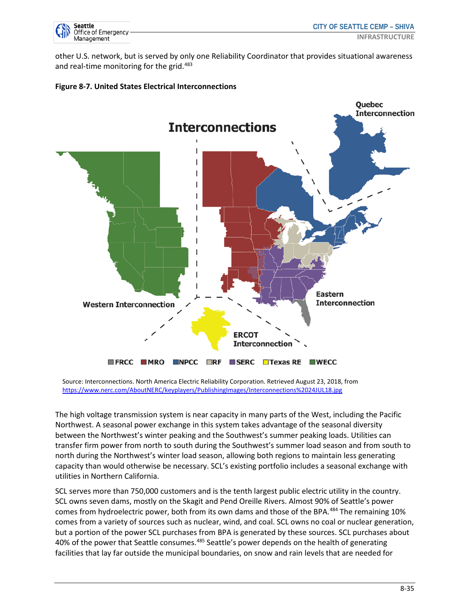

other U.S. network, but is served by only one Reliability Coordinator that provides situational awareness and real-time monitoring for the grid.<sup>483</sup>





Source: Interconnections. North America Electric Reliability Corporation. Retrieved August 23, 2018, from https://www.nerc.com/AboutNERC/keyplayers/PublishingImages/Interconnections%2024JUL18.jpg

The high voltage transmission system is near capacity in many parts of the West, including the Pacific Northwest. A seasonal power exchange in this system takes advantage of the seasonal diversity between the Northwest's winter peaking and the Southwest's summer peaking loads. Utilities can transfer firm power from north to south during the Southwest's summer load season and from south to north during the Northwest's winter load season, allowing both regions to maintain less generating capacity than would otherwise be necessary. SCL's existing portfolio includes a seasonal exchange with utilities in Northern California.

SCL serves more than 750,000 customers and is the tenth largest public electric utility in the country. SCL owns seven dams, mostly on the Skagit and Pend Oreille Rivers. Almost 90% of Seattle's power comes from hydroelectric power, both from its own dams and those of the BPA.<sup>484</sup> The remaining 10% comes from a variety of sources such as nuclear, wind, and coal. SCL owns no coal or nuclear generation, but a portion of the power SCL purchases from BPA is generated by these sources. SCL purchases about 40% of the power that Seattle consumes.<sup>485</sup> Seattle's power depends on the health of generating facilities that lay far outside the municipal boundaries, on snow and rain levels that are needed for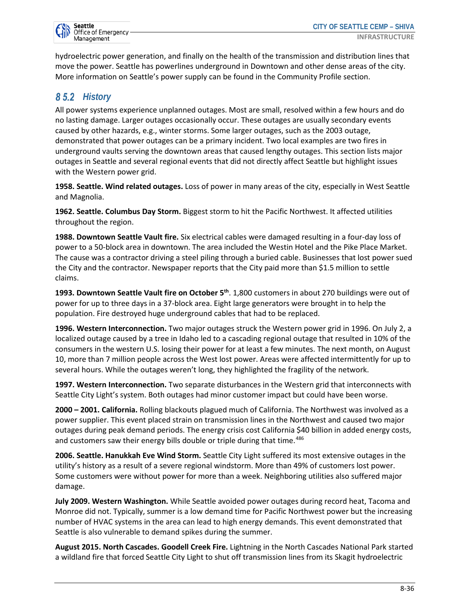hydroelectric power generation, and finally on the health of the transmission and distribution lines that move the power. Seattle has powerlines underground in Downtown and other dense areas of the city. More information on Seattle's power supply can be found in the Community Profile section.

## 85.2 History

All power systems experience unplanned outages. Most are small, resolved within a few hours and do no lasting damage. Larger outages occasionally occur. These outages are usually secondary events caused by other hazards, e.g., winter storms. Some larger outages, such as the 2003 outage, demonstrated that power outages can be a primary incident. Two local examples are two fires in underground vaults serving the downtown areas that caused lengthy outages. This section lists major outages in Seattle and several regional events that did not directly affect Seattle but highlight issues with the Western power grid.

**1958. Seattle. Wind related outages.** Loss of power in many areas of the city, especially in West Seattle and Magnolia.

**1962. Seattle. Columbus Day Storm.** Biggest storm to hit the Pacific Northwest. It affected utilities throughout the region.

**1988. Downtown Seattle Vault fire.** Six electrical cables were damaged resulting in a four-day loss of power to a 50-block area in downtown. The area included the Westin Hotel and the Pike Place Market. The cause was a contractor driving a steel piling through a buried cable. Businesses that lost power sued the City and the contractor. Newspaper reports that the City paid more than \$1.5 million to settle claims.

**1993. Downtown Seattle Vault fire on October 5th**. 1,800 customers in about 270 buildings were out of power for up to three days in a 37-block area. Eight large generators were brought in to help the population. Fire destroyed huge underground cables that had to be replaced.

**1996. Western Interconnection.** Two major outages struck the Western power grid in 1996. On July 2, a localized outage caused by a tree in Idaho led to a cascading regional outage that resulted in 10% of the consumers in the western U.S. losing their power for at least a few minutes. The next month, on August 10, more than 7 million people across the West lost power. Areas were affected intermittently for up to several hours. While the outages weren't long, they highlighted the fragility of the network.

**1997. Western Interconnection.** Two separate disturbances in the Western grid that interconnects with Seattle City Light's system. Both outages had minor customer impact but could have been worse.

**2000 – 2001. California.** Rolling blackouts plagued much of California. The Northwest was involved as a power supplier. This event placed strain on transmission lines in the Northwest and caused two major outages during peak demand periods. The energy crisis cost California \$40 billion in added energy costs, and customers saw their energy bills double or triple during that time.<sup>486</sup>

**2006. Seattle. Hanukkah Eve Wind Storm.** Seattle City Light suffered its most extensive outages in the utility's history as a result of a severe regional windstorm. More than 49% of customers lost power. Some customers were without power for more than a week. Neighboring utilities also suffered major damage.

**July 2009. Western Washington.** While Seattle avoided power outages during record heat, Tacoma and Monroe did not. Typically, summer is a low demand time for Pacific Northwest power but the increasing number of HVAC systems in the area can lead to high energy demands. This event demonstrated that Seattle is also vulnerable to demand spikes during the summer.

**August 2015. North Cascades. Goodell Creek Fire.** Lightning in the North Cascades National Park started a wildland fire that forced Seattle City Light to shut off transmission lines from its Skagit hydroelectric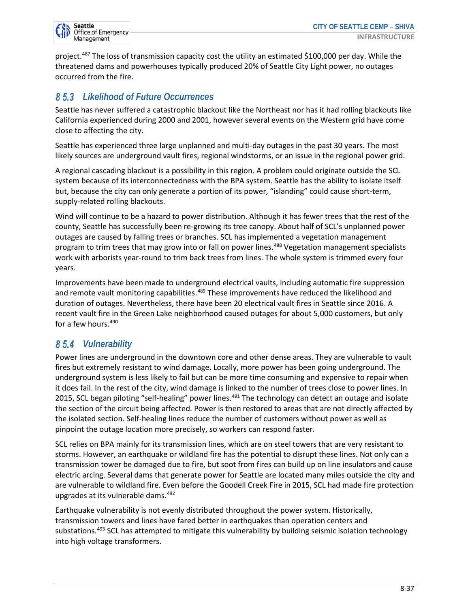project.487 The loss of transmission capacity cost the utility an estimated \$100,000 per day. While the threatened dams and powerhouses typically produced 20% of Seattle City Light power, no outages occurred from the fire.

## *Likelihood of Future Occurrences*

Seattle has never suffered a catastrophic blackout like the Northeast nor has it had rolling blackouts like California experienced during 2000 and 2001, however several events on the Western grid have come close to affecting the city.

Seattle has experienced three large unplanned and multi-day outages in the past 30 years. The most likely sources are underground vault fires, regional windstorms, or an issue in the regional power grid.

A regional cascading blackout is a possibility in this region. A problem could originate outside the SCL system because of its interconnectedness with the BPA system. Seattle has the ability to isolate itself but, because the city can only generate a portion of its power, "islanding" could cause short-term, supply-related rolling blackouts.

Wind will continue to be a hazard to power distribution. Although it has fewer trees that the rest of the county, Seattle has successfully been re-growing its tree canopy. About half of SCL's unplanned power outages are caused by falling trees or branches. SCL has implemented a vegetation management program to trim trees that may grow into or fall on power lines.<sup>488</sup> Vegetation management specialists work with arborists year-round to trim back trees from lines. The whole system is trimmed every four years.

Improvements have been made to underground electrical vaults, including automatic fire suppression and remote vault monitoring capabilities.<sup>489</sup> These improvements have reduced the likelihood and duration of outages. Nevertheless, there have been 20 electrical vault fires in Seattle since 2016. A recent vault fire in the Green Lake neighborhood caused outages for about 5,000 customers, but only for a few hours.490

#### *Vulnerability*

Power lines are underground in the downtown core and other dense areas. They are vulnerable to vault fires but extremely resistant to wind damage. Locally, more power has been going underground. The underground system is less likely to fail but can be more time consuming and expensive to repair when it does fail. In the rest of the city, wind damage is linked to the number of trees close to power lines. In 2015, SCL began piloting "self-healing" power lines.<sup>491</sup> The technology can detect an outage and isolate the section of the circuit being affected. Power is then restored to areas that are not directly affected by the isolated section. Self-healing lines reduce the number of customers without power as well as pinpoint the outage location more precisely, so workers can respond faster.

SCL relies on BPA mainly for its transmission lines, which are on steel towers that are very resistant to storms. However, an earthquake or wildland fire has the potential to disrupt these lines. Not only can a transmission tower be damaged due to fire, but soot from fires can build up on line insulators and cause electric arcing. Several dams that generate power for Seattle are located many miles outside the city and are vulnerable to wildland fire. Even before the Goodell Creek Fire in 2015, SCL had made fire protection upgrades at its vulnerable dams.492

Earthquake vulnerability is not evenly distributed throughout the power system. Historically, transmission towers and lines have fared better in earthquakes than operation centers and substations.<sup>493</sup> SCL has attempted to mitigate this vulnerability by building seismic isolation technology into high voltage transformers.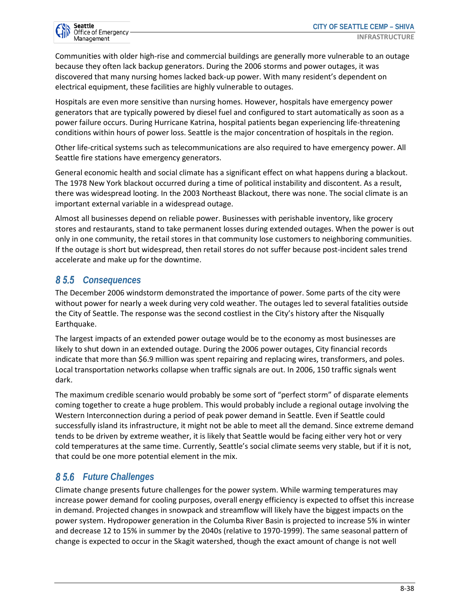

Communities with older high-rise and commercial buildings are generally more vulnerable to an outage because they often lack backup generators. During the 2006 storms and power outages, it was discovered that many nursing homes lacked back-up power. With many resident's dependent on electrical equipment, these facilities are highly vulnerable to outages.

Hospitals are even more sensitive than nursing homes. However, hospitals have emergency power generators that are typically powered by diesel fuel and configured to start automatically as soon as a power failure occurs. During Hurricane Katrina, hospital patients began experiencing life-threatening conditions within hours of power loss. Seattle is the major concentration of hospitals in the region.

Other life-critical systems such as telecommunications are also required to have emergency power. All Seattle fire stations have emergency generators.

General economic health and social climate has a significant effect on what happens during a blackout. The 1978 New York blackout occurred during a time of political instability and discontent. As a result, there was widespread looting. In the 2003 Northeast Blackout, there was none. The social climate is an important external variable in a widespread outage.

Almost all businesses depend on reliable power. Businesses with perishable inventory, like grocery stores and restaurants, stand to take permanent losses during extended outages. When the power is out only in one community, the retail stores in that community lose customers to neighboring communities. If the outage is short but widespread, then retail stores do not suffer because post-incident sales trend accelerate and make up for the downtime.

#### *Consequences*

The December 2006 windstorm demonstrated the importance of power. Some parts of the city were without power for nearly a week during very cold weather. The outages led to several fatalities outside the City of Seattle. The response was the second costliest in the City's history after the Nisqually Earthquake.

The largest impacts of an extended power outage would be to the economy as most businesses are likely to shut down in an extended outage. During the 2006 power outages, City financial records indicate that more than \$6.9 million was spent repairing and replacing wires, transformers, and poles. Local transportation networks collapse when traffic signals are out. In 2006, 150 traffic signals went dark.

The maximum credible scenario would probably be some sort of "perfect storm" of disparate elements coming together to create a huge problem. This would probably include a regional outage involving the Western Interconnection during a period of peak power demand in Seattle. Even if Seattle could successfully island its infrastructure, it might not be able to meet all the demand. Since extreme demand tends to be driven by extreme weather, it is likely that Seattle would be facing either very hot or very cold temperatures at the same time. Currently, Seattle's social climate seems very stable, but if it is not, that could be one more potential element in the mix.

#### *Future Challenges*

Climate change presents future challenges for the power system. While warming temperatures may increase power demand for cooling purposes, overall energy efficiency is expected to offset this increase in demand. Projected changes in snowpack and streamflow will likely have the biggest impacts on the power system. Hydropower generation in the Columba River Basin is projected to increase 5% in winter and decrease 12 to 15% in summer by the 2040s (relative to 1970-1999). The same seasonal pattern of change is expected to occur in the Skagit watershed, though the exact amount of change is not well